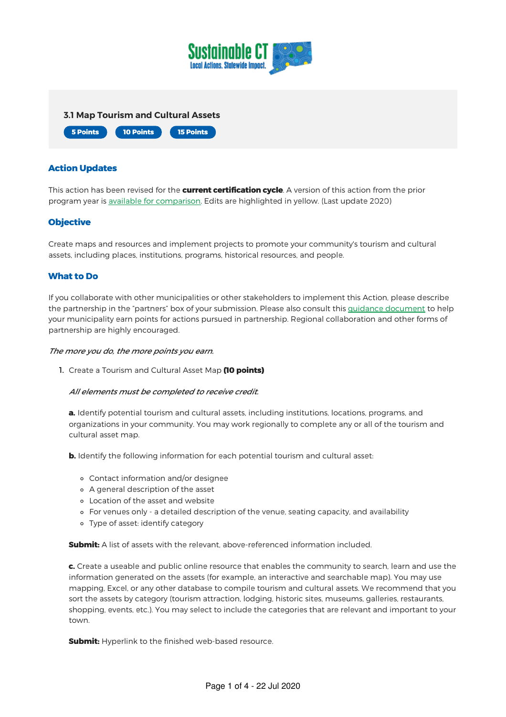



### Action Updates

This action has been revised for the **current certification cycle**. A version of this action from the prior program year is available for [comparison.](https://sustainablect.org/fileadmin/Random_PDF_Files/Archived_Actions/2020_UO_Actions/3.1.pdf) Edits are highlighted in yellow. (Last update 2020)

## **Objective**

Create maps and resources and implement projects to promote your community's tourism and cultural assets, including places, institutions, programs, historical resources, and people.

#### What to Do

If you collaborate with other municipalities or other stakeholders to implement this Action, please describe the partnership in the "partners" box of your submission. Please also consult this guidance [document](https://sustainablect.org/fileadmin/Random_PDF_Files/Files_and_Resources/Municipal_Partner_Guidance--2020.pdf) to help your municipality earn points for actions pursued in partnership. Regional collaboration and other forms of partnership are highly encouraged.

#### The more you do, the more points you earn.

1. Create a Tourism and Cultural Asset Map (10 points)

#### All elements must be completed to receive credit.

a. Identify potential tourism and cultural assets, including institutions, locations, programs, and organizations in your community. You may work regionally to complete any or all of the tourism and cultural asset map.

**b.** Identify the following information for each potential tourism and cultural asset:

- Contact information and/or designee
- A general description of the asset
- Location of the asset and website
- For venues only a detailed description of the venue, seating capacity, and availability
- Type of asset: identify category

Submit: A list of assets with the relevant, above-referenced information included.

c. Create a useable and public online resource that enables the community to search, learn and use the information generated on the assets (for example, an interactive and searchable map). You may use mapping, Excel, or any other database to compile tourism and cultural assets. We recommend that you sort the assets by category (tourism attraction, lodging, historic sites, museums, galleries, restaurants, shopping, events, etc.). You may select to include the categories that are relevant and important to your town.

**Submit:** Hyperlink to the finished web-based resource.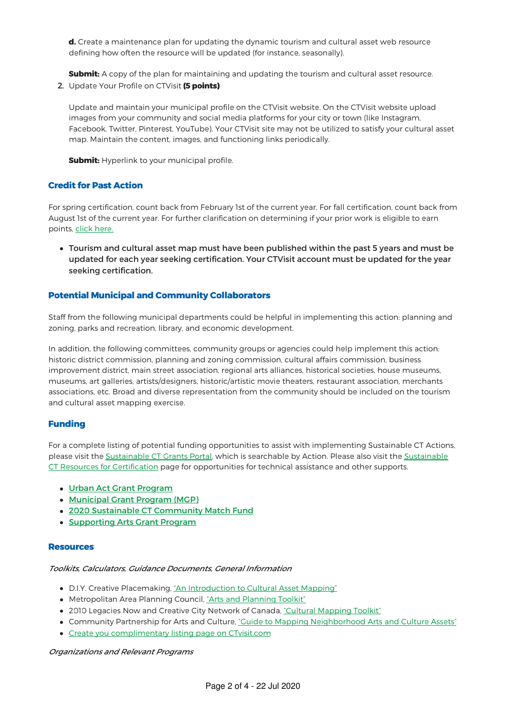d. Create a maintenance plan for updating the dynamic tourism and cultural asset web resource defining how often the resource will be updated (for instance, seasonally).

**Submit:** A copy of the plan for maintaining and updating the tourism and cultural asset resource.

2. Update Your Profile on CTVisit (5 points)

Update and maintain your municipal profile on the CTVisit website. On the CTVisit website upload images from your community and social media platforms for your city or town (like Instagram, Facebook, Twitter, Pinterest, YouTube). Your CTVisit site may not be utilized to satisfy your cultural asset map. Maintain the content, images, and functioning links periodically.

**Submit:** Hyperlink to your municipal profile.

## Credit for Past Action

For spring certification, count back from February 1st of the current year. For fall certification, count back from August 1st of the current year. For further clarification on determining if your prior work is eligible to earn points, click [here.](https://sustainablect.org/fileadmin/Random_PDF_Files/Files_and_Resources/Credit_for_Past_Action_Document.pdf)

Tourism and cultural asset map must have been published within the past 5 years and must be updated for each year seeking certification. Your CTVisit account must be updated for the year seeking certification.

# Potential Municipal and Community Collaborators

Staff from the following municipal departments could be helpful in implementing this action: planning and zoning, parks and recreation, library, and economic development.

In addition, the following committees, community groups or agencies could help implement this action: historic district commission, planning and zoning commission, cultural affairs commission, business improvement district, main street association, regional arts alliances, historical societies, house museums, museums, art galleries, artists/designers, historic/artistic movie theaters, restaurant association, merchants associations, etc. Broad and diverse representation from the community should be included on the tourism and cultural asset mapping exercise.

## Funding

For a complete listing of potential funding opportunities to assist with implementing Sustainable CT Actions, please visit the [Sustainable](https://sustainablect.org/funding/) CT Grants Portal, which is searchable by Action. Please also visit the Sustainable CT Resources for Certification page for [opportunities](https://sustainablect.org/resources-news-events/) for technical assistance and other supports.

- Urban Act Grant [Program](https://sustainablect.org/funding/grants-portal/detail/?tx_sjcert_grants%5Bgrant%5D=95&tx_sjcert_grants%5Baction%5D=show&tx_sjcert_grants%5Bcontroller%5D=Grant&cHash=26b48e66187c344698ff787e0730067d)
- [Municipal](https://sustainablect.org/funding/grants-portal/detail/?tx_sjcert_grants%5Bgrant%5D=96&tx_sjcert_grants%5Baction%5D=show&tx_sjcert_grants%5Bcontroller%5D=Grant&cHash=fee9a6e9e893ad33a69f027ad81d1db4) Grant Program (MGP)
- 2020 Sustainable CT [Community](https://sustainablect.org/funding/grants-portal/detail/?tx_sjcert_grants%5Bgrant%5D=104&tx_sjcert_grants%5Baction%5D=show&tx_sjcert_grants%5Bcontroller%5D=Grant&cHash=af17fd0f7c6614cf00257746113fdf1a) Match Fund
- [Supporting](https://sustainablect.org/funding/grants-portal/detail/?tx_sjcert_grants%5Bgrant%5D=121&tx_sjcert_grants%5Baction%5D=show&tx_sjcert_grants%5Bcontroller%5D=Grant&cHash=53ed6dbcd140f4a8a216d26812ad1991) Arts Grant Program

## Resources

#### Toolkits, Calculators, Guidance Documents, General Information

- D.I.Y. Creative Placemaking, "An [Introduction](http://www.artscapediy.org/Creative-Placemaking-Toolbox/Who-Are-My-Stakeholders-and-How-Do-I-Engage-Them/An-Introduction-to-Cultural-Asset-Mapping.aspx) to Cultural Asset Mapping"
- Metropolitan Area [Planning](http://artsandplanning.mapc.org/) Council, "Arts and Planning Toolkit"
- 2010 Legacies Now and Creative City Network of Canada, "Cultural [Mapping](https://www.creativecity.ca/database/files/library/cultural_mapping_toolkit.pdf) Toolkit"
- Community Partnership for Arts and Culture, "Guide to Mapping [Neighborhood](http://www.cultureforward.org/Reference-Desk/Research-Library/neighborhoods/Guide-to-Mapping-Neighborhood-Arts-and-Cultural-Assets) Arts and Culture Assets"
- Create you [complimentary](https://sustainablect.org/fileadmin/Random_PDF_Files/Files_and_Resources/COT_Listing_Flyer.pdf) listing page on CTvisit.com

#### Organizations and Relevant Programs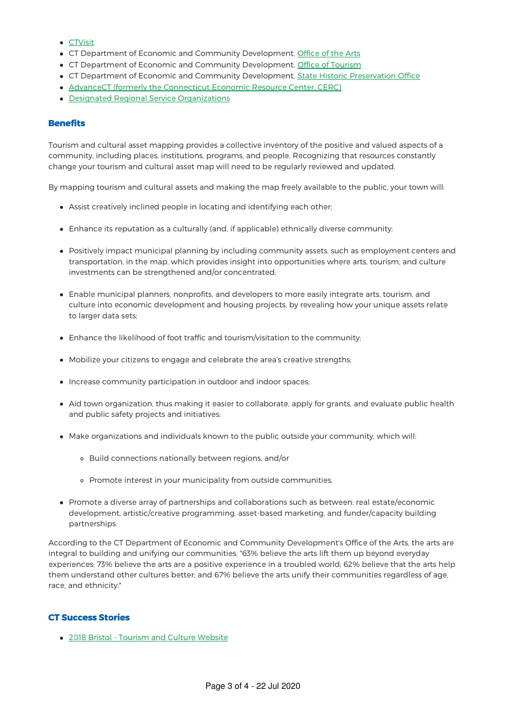- [CTVisit](http://ctvisit.com)
- CT Department of Economic and Community Development, [Office](http://www.ct.gov/cct/cwp/view.asp?a=3948&q=464520&cctNav=%7C) of the Arts
- CT Department of Economic and Community Development, Office of [Tourism](http://www.ct.gov/cct/cwp/view.asp?a=3948&q=464698)
- CT Department of Economic and Community Development, State Historic [Preservation](http://www.ct.gov/cct/cwp/view.asp?a=3948&q=293806&cctNav=%7C) Office
- AdvanceCT (formerly the [Connecticut](https://www.advancect.org/) Economic Resource Center, CERC)
- Designated Regional Service [Organizations](https://portal.ct.gov/DECD/Content/Arts-Culture/08_Other_Resources/Designated-Regional-Services-Organizations/Designated-Regional-Service-Organizations)

#### **Benefits**

Tourism and cultural asset mapping provides a collective inventory of the positive and valued aspects of a community, including places, institutions, programs, and people. Recognizing that resources constantly change your tourism and cultural asset map will need to be regularly reviewed and updated.

By mapping tourism and cultural assets and making the map freely available to the public, your town will:

- Assist creatively inclined people in locating and identifying each other;
- Enhance its reputation as a culturally (and, if applicable) ethnically diverse community;
- Positively impact municipal planning by including community assets, such as employment centers and transportation, in the map, which provides insight into opportunities where arts, tourism, and culture investments can be strengthened and/or concentrated;
- Enable municipal planners, nonprofits, and developers to more easily integrate arts, tourism, and culture into economic development and housing projects, by revealing how your unique assets relate to larger data sets:
- Enhance the likelihood of foot traffic and tourism/visitation to the community;
- Mobilize your citizens to engage and celebrate the area's creative strengths;
- Increase community participation in outdoor and indoor spaces;
- Aid town organization, thus making it easier to collaborate, apply for grants, and evaluate public health and public safety projects and initiatives;
- Make organizations and individuals known to the public outside your community, which will:
	- Build connections nationally between regions, and/or
	- Promote interest in your municipality from outside communities.
- Promote a diverse array of partnerships and collaborations such as between: real estate/economic development, artistic/creative programming, asset-based marketing, and funder/capacity building partnerships.

According to the CT Department of Economic and Community Development's Office of the Arts, the arts are integral to building and unifying our communities, "63% believe the arts lift them up beyond everyday experiences; 73% believe the arts are a positive experience in a troubled world; 62% believe that the arts help them understand other cultures better; and 67% believe the arts unify their communities regardless of age, race, and ethnicity."

## CT Success Stories

2018 Bristol - [Tourism](https://sustainablect.org/communities-partners-impact/participating-communities/certification-report/?tx_sjcert_certification%5Bcertification%5D=3&tx_sjcert_certification%5Baction%5D=show&tx_sjcert_certification%5Bcontroller%5D=Certification&cHash=034f4d7f2799985c61ba76cfa3a42df0#cas62) and Culture Website